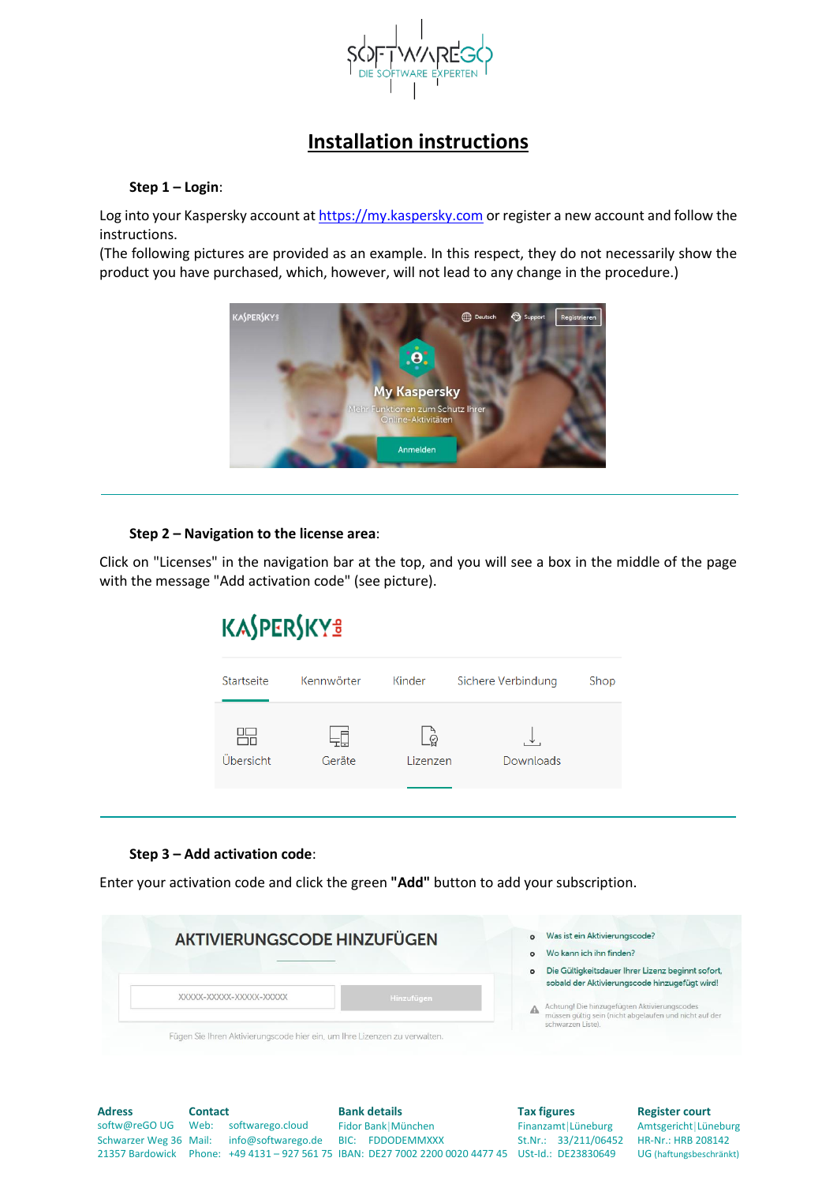

## **Installation instructions**

#### **Step 1 – Login**:

Log into your Kaspersky account a[t https://my.kaspersky.com](https://my.kaspersky.com/) or register a new account and follow the instructions.

(The following pictures are provided as an example. In this respect, they do not necessarily show the product you have purchased, which, however, will not lead to any change in the procedure.)



#### **Step 2 – Navigation to the license area**:

Click on "Licenses" in the navigation bar at the top, and you will see a box in the middle of the page with the message "Add activation code" (see picture).

# **KASPERSKYS**

| Startseite | Kennwörter | Kinder        | Sichere Verbindung | Shop |
|------------|------------|---------------|--------------------|------|
|            |            |               |                    |      |
| Übersicht  | Geräte     | ē<br>Lizenzen | Downloads          |      |
|            |            |               |                    |      |

#### **Step 3 – Add activation code**:

Enter your activation code and click the green **"Add"** button to add your subscription.



| <b>Adress</b>                      | <b>Contact</b> |                                           | <b>Bank details</b>                                                                                | <b>Tax figures</b> |                      | <b>Register court</b>   |
|------------------------------------|----------------|-------------------------------------------|----------------------------------------------------------------------------------------------------|--------------------|----------------------|-------------------------|
| softw@reGOUG Web: softwarego.cloud |                |                                           | Fidor Bank München                                                                                 |                    | Finanzamt Lüneburg   | Amtsgericht Lüneburg    |
|                                    |                | Schwarzer Weg 36 Mail: info@softwarego.de | BIC: FDDODEMMXXX                                                                                   |                    | St.Nr.: 33/211/06452 | HR-Nr.: HRB 208142      |
|                                    |                |                                           | 21357 Bardowick Phone: +49 4131 - 927 561 75 IBAN: DE27 7002 2200 0020 4477 45 USt-Id.: DE23830649 |                    |                      | UG (haftungsbeschränkt) |